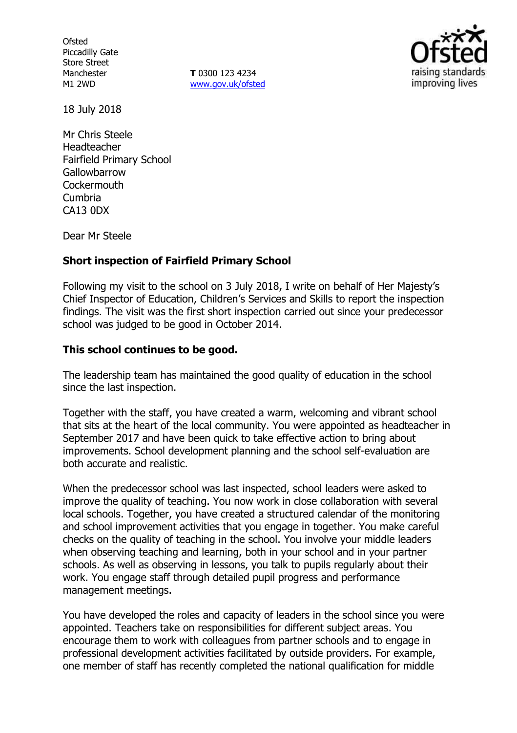**Ofsted** Piccadilly Gate Store Street Manchester M1 2WD

**T** 0300 123 4234 [www.gov.uk/ofsted](http://www.gov.uk/ofsted)



18 July 2018

Mr Chris Steele Headteacher Fairfield Primary School **Gallowbarrow Cockermouth** Cumbria CA13 0DX

Dear Mr Steele

### **Short inspection of Fairfield Primary School**

Following my visit to the school on 3 July 2018, I write on behalf of Her Majesty's Chief Inspector of Education, Children's Services and Skills to report the inspection findings. The visit was the first short inspection carried out since your predecessor school was judged to be good in October 2014.

#### **This school continues to be good.**

The leadership team has maintained the good quality of education in the school since the last inspection.

Together with the staff, you have created a warm, welcoming and vibrant school that sits at the heart of the local community. You were appointed as headteacher in September 2017 and have been quick to take effective action to bring about improvements. School development planning and the school self-evaluation are both accurate and realistic.

When the predecessor school was last inspected, school leaders were asked to improve the quality of teaching. You now work in close collaboration with several local schools. Together, you have created a structured calendar of the monitoring and school improvement activities that you engage in together. You make careful checks on the quality of teaching in the school. You involve your middle leaders when observing teaching and learning, both in your school and in your partner schools. As well as observing in lessons, you talk to pupils regularly about their work. You engage staff through detailed pupil progress and performance management meetings.

You have developed the roles and capacity of leaders in the school since you were appointed. Teachers take on responsibilities for different subject areas. You encourage them to work with colleagues from partner schools and to engage in professional development activities facilitated by outside providers. For example, one member of staff has recently completed the national qualification for middle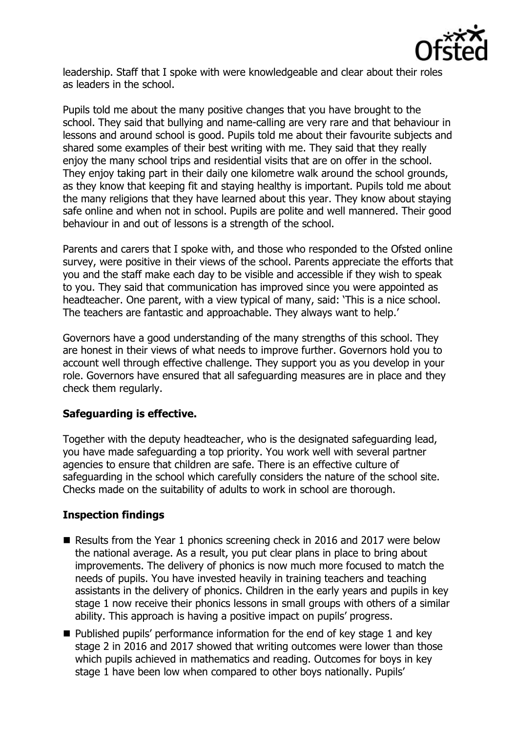

leadership. Staff that I spoke with were knowledgeable and clear about their roles as leaders in the school.

Pupils told me about the many positive changes that you have brought to the school. They said that bullying and name-calling are very rare and that behaviour in lessons and around school is good. Pupils told me about their favourite subjects and shared some examples of their best writing with me. They said that they really enjoy the many school trips and residential visits that are on offer in the school. They enjoy taking part in their daily one kilometre walk around the school grounds, as they know that keeping fit and staying healthy is important. Pupils told me about the many religions that they have learned about this year. They know about staying safe online and when not in school. Pupils are polite and well mannered. Their good behaviour in and out of lessons is a strength of the school.

Parents and carers that I spoke with, and those who responded to the Ofsted online survey, were positive in their views of the school. Parents appreciate the efforts that you and the staff make each day to be visible and accessible if they wish to speak to you. They said that communication has improved since you were appointed as headteacher. One parent, with a view typical of many, said: 'This is a nice school. The teachers are fantastic and approachable. They always want to help.'

Governors have a good understanding of the many strengths of this school. They are honest in their views of what needs to improve further. Governors hold you to account well through effective challenge. They support you as you develop in your role. Governors have ensured that all safeguarding measures are in place and they check them regularly.

### **Safeguarding is effective.**

Together with the deputy headteacher, who is the designated safeguarding lead, you have made safeguarding a top priority. You work well with several partner agencies to ensure that children are safe. There is an effective culture of safeguarding in the school which carefully considers the nature of the school site. Checks made on the suitability of adults to work in school are thorough.

# **Inspection findings**

- Results from the Year 1 phonics screening check in 2016 and 2017 were below the national average. As a result, you put clear plans in place to bring about improvements. The delivery of phonics is now much more focused to match the needs of pupils. You have invested heavily in training teachers and teaching assistants in the delivery of phonics. Children in the early years and pupils in key stage 1 now receive their phonics lessons in small groups with others of a similar ability. This approach is having a positive impact on pupils' progress.
- Published pupils' performance information for the end of key stage 1 and key stage 2 in 2016 and 2017 showed that writing outcomes were lower than those which pupils achieved in mathematics and reading. Outcomes for boys in key stage 1 have been low when compared to other boys nationally. Pupils'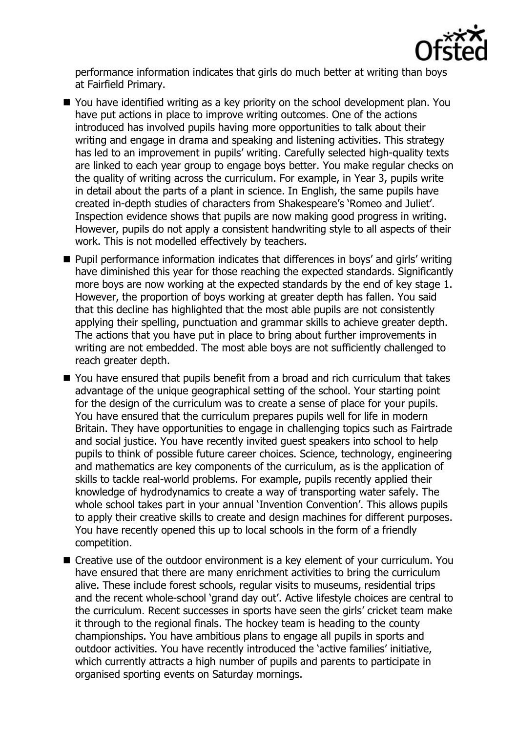

performance information indicates that girls do much better at writing than boys at Fairfield Primary.

- You have identified writing as a key priority on the school development plan. You have put actions in place to improve writing outcomes. One of the actions introduced has involved pupils having more opportunities to talk about their writing and engage in drama and speaking and listening activities. This strategy has led to an improvement in pupils' writing. Carefully selected high-quality texts are linked to each year group to engage boys better. You make regular checks on the quality of writing across the curriculum. For example, in Year 3, pupils write in detail about the parts of a plant in science. In English, the same pupils have created in-depth studies of characters from Shakespeare's 'Romeo and Juliet'. Inspection evidence shows that pupils are now making good progress in writing. However, pupils do not apply a consistent handwriting style to all aspects of their work. This is not modelled effectively by teachers.
- Pupil performance information indicates that differences in boys' and girls' writing have diminished this year for those reaching the expected standards. Significantly more boys are now working at the expected standards by the end of key stage 1. However, the proportion of boys working at greater depth has fallen. You said that this decline has highlighted that the most able pupils are not consistently applying their spelling, punctuation and grammar skills to achieve greater depth. The actions that you have put in place to bring about further improvements in writing are not embedded. The most able boys are not sufficiently challenged to reach greater depth.
- You have ensured that pupils benefit from a broad and rich curriculum that takes advantage of the unique geographical setting of the school. Your starting point for the design of the curriculum was to create a sense of place for your pupils. You have ensured that the curriculum prepares pupils well for life in modern Britain. They have opportunities to engage in challenging topics such as Fairtrade and social justice. You have recently invited guest speakers into school to help pupils to think of possible future career choices. Science, technology, engineering and mathematics are key components of the curriculum, as is the application of skills to tackle real-world problems. For example, pupils recently applied their knowledge of hydrodynamics to create a way of transporting water safely. The whole school takes part in your annual 'Invention Convention'. This allows pupils to apply their creative skills to create and design machines for different purposes. You have recently opened this up to local schools in the form of a friendly competition.
- Creative use of the outdoor environment is a key element of your curriculum. You have ensured that there are many enrichment activities to bring the curriculum alive. These include forest schools, regular visits to museums, residential trips and the recent whole-school 'grand day out'. Active lifestyle choices are central to the curriculum. Recent successes in sports have seen the girls' cricket team make it through to the regional finals. The hockey team is heading to the county championships. You have ambitious plans to engage all pupils in sports and outdoor activities. You have recently introduced the 'active families' initiative, which currently attracts a high number of pupils and parents to participate in organised sporting events on Saturday mornings.